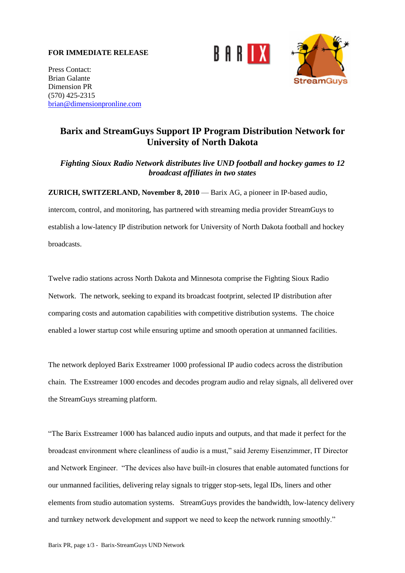## **FOR IMMEDIATE RELEASE**





Press Contact: Brian Galante Dimension PR (570) 425-2315 [brian@dimensionpronline.com](mailto:brian@dimensionpronline.com)

# **Barix and StreamGuys Support IP Program Distribution Network for University of North Dakota**

# *Fighting Sioux Radio Network distributes live UND football and hockey games to 12 broadcast affiliates in two states*

**ZURICH, SWITZERLAND, November 8, 2010** — Barix AG, a pioneer in IP-based audio,

intercom, control, and monitoring, has partnered with streaming media provider StreamGuys to establish a low-latency IP distribution network for University of North Dakota football and hockey broadcasts.

Twelve radio stations across North Dakota and Minnesota comprise the Fighting Sioux Radio Network. The network, seeking to expand its broadcast footprint, selected IP distribution after comparing costs and automation capabilities with competitive distribution systems. The choice enabled a lower startup cost while ensuring uptime and smooth operation at unmanned facilities.

The network deployed Barix Exstreamer 1000 professional IP audio codecs across the distribution chain. The Exstreamer 1000 encodes and decodes program audio and relay signals, all delivered over the StreamGuys streaming platform.

―The Barix Exstreamer 1000 has balanced audio inputs and outputs, and that made it perfect for the broadcast environment where cleanliness of audio is a must," said Jeremy Eisenzimmer, IT Director and Network Engineer. "The devices also have built-in closures that enable automated functions for our unmanned facilities, delivering relay signals to trigger stop-sets, legal IDs, liners and other elements from studio automation systems. StreamGuys provides the bandwidth, low-latency delivery and turnkey network development and support we need to keep the network running smoothly."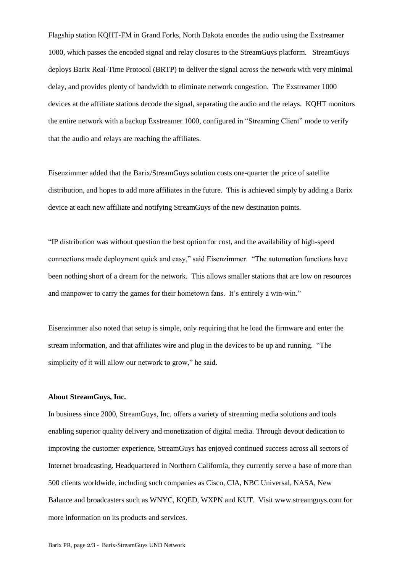Flagship station KQHT-FM in Grand Forks, North Dakota encodes the audio using the Exstreamer 1000, which passes the encoded signal and relay closures to the StreamGuys platform. StreamGuys deploys Barix Real-Time Protocol (BRTP) to deliver the signal across the network with very minimal delay, and provides plenty of bandwidth to eliminate network congestion. The Exstreamer 1000 devices at the affiliate stations decode the signal, separating the audio and the relays. KQHT monitors the entire network with a backup Exstreamer 1000, configured in "Streaming Client" mode to verify that the audio and relays are reaching the affiliates.

Eisenzimmer added that the Barix/StreamGuys solution costs one-quarter the price of satellite distribution, and hopes to add more affiliates in the future. This is achieved simply by adding a Barix device at each new affiliate and notifying StreamGuys of the new destination points.

―IP distribution was without question the best option for cost, and the availability of high-speed connections made deployment quick and easy," said Eisenzimmer. "The automation functions have been nothing short of a dream for the network. This allows smaller stations that are low on resources and manpower to carry the games for their hometown fans. It's entirely a win-win."

Eisenzimmer also noted that setup is simple, only requiring that he load the firmware and enter the stream information, and that affiliates wire and plug in the devices to be up and running. "The simplicity of it will allow our network to grow," he said.

#### **About StreamGuys, Inc.**

In business since 2000, StreamGuys, Inc. offers a variety of streaming media solutions and tools enabling superior quality delivery and monetization of digital media. Through devout dedication to improving the customer experience, StreamGuys has enjoyed continued success across all sectors of Internet broadcasting. Headquartered in Northern California, they currently serve a base of more than 500 clients worldwide, including such companies as Cisco, CIA, NBC Universal, NASA, New Balance and broadcasters such as WNYC, KQED, WXPN and KUT. Visit www.streamguys.com for more information on its products and services.